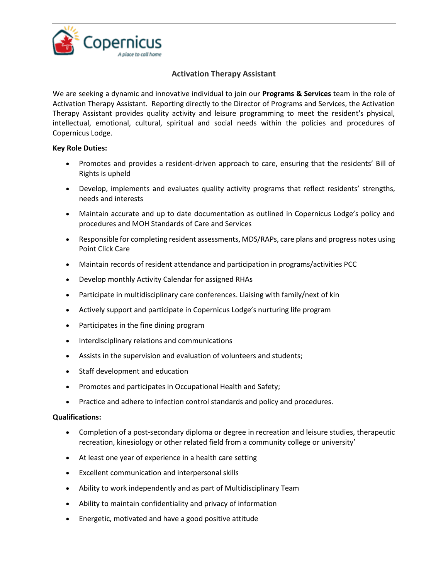

## **Activation Therapy Assistant**

We are seeking a dynamic and innovative individual to join our **Programs & Services** team in the role of Activation Therapy Assistant. Reporting directly to the Director of Programs and Services, the Activation Therapy Assistant provides quality activity and leisure programming to meet the resident's physical, intellectual, emotional, cultural, spiritual and social needs within the policies and procedures of Copernicus Lodge.

## **Key Role Duties:**

- Promotes and provides a resident-driven approach to care, ensuring that the residents' Bill of Rights is upheld
- Develop, implements and evaluates quality activity programs that reflect residents' strengths, needs and interests
- Maintain accurate and up to date documentation as outlined in Copernicus Lodge's policy and procedures and MOH Standards of Care and Services
- Responsible for completing resident assessments, MDS/RAPs, care plans and progress notes using Point Click Care
- Maintain records of resident attendance and participation in programs/activities PCC
- Develop monthly Activity Calendar for assigned RHAs
- Participate in multidisciplinary care conferences. Liaising with family/next of kin
- Actively support and participate in Copernicus Lodge's nurturing life program
- Participates in the fine dining program
- Interdisciplinary relations and communications
- Assists in the supervision and evaluation of volunteers and students;
- Staff development and education
- Promotes and participates in Occupational Health and Safety;
- Practice and adhere to infection control standards and policy and procedures.

## **Qualifications:**

- Completion of a post-secondary diploma or degree in recreation and leisure studies, therapeutic recreation, kinesiology or other related field from a community college or university'
- At least one year of experience in a health care setting
- Excellent communication and interpersonal skills
- Ability to work independently and as part of Multidisciplinary Team
- Ability to maintain confidentiality and privacy of information
- Energetic, motivated and have a good positive attitude